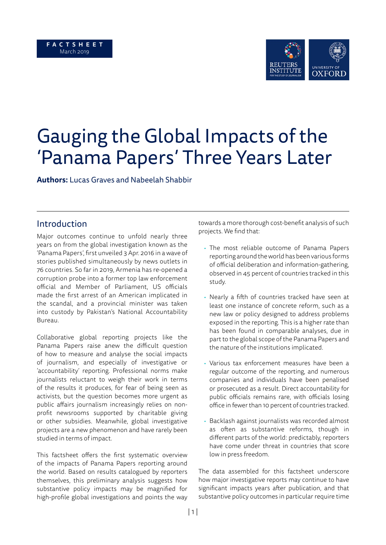### **F A C T S H E E T**  March 2019



# Gauging the Global Impacts of the 'Panama Papers' Three Years Later

**Authors:** Lucas Graves and Nabeelah Shabbir

## Introduction

Major outcomes continue to unfold nearly three years on from the global investigation known as the 'Panama Papers', first unveiled 3 Apr. 2016 in a wave of stories published simultaneously by news outlets in 76 countries. So far in 2019, Armenia has re-opened a corruption probe into a former top law enforcement official and Member of Parliament, US officials made the first arrest of an American implicated in the scandal, and a provincial minister was taken into custody by Pakistan's National Accountability Bureau.

Collaborative global reporting projects like the Panama Papers raise anew the difficult question of how to measure and analyse the social impacts of journalism, and especially of investigative or 'accountability' reporting. Professional norms make journalists reluctant to weigh their work in terms of the results it produces, for fear of being seen as activists, but the question becomes more urgent as public affairs journalism increasingly relies on nonprofit newsrooms supported by charitable giving or other subsidies. Meanwhile, global investigative projects are a new phenomenon and have rarely been studied in terms of impact.

This factsheet offers the first systematic overview of the impacts of Panama Papers reporting around the world. Based on results catalogued by reporters themselves, this preliminary analysis suggests how substantive policy impacts may be magnified for high-profile global investigations and points the way towards a more thorough cost-benefit analysis of such projects. We find that:

- The most reliable outcome of Panama Papers reporting around the world has been various forms of official deliberation and information-gathering, observed in 45 percent of countries tracked in this study.
- Nearly a fifth of countries tracked have seen at least one instance of concrete reform, such as a new law or policy designed to address problems exposed in the reporting. This is a higher rate than has been found in comparable analyses, due in part to the global scope of the Panama Papers and the nature of the institutions implicated.
- Various tax enforcement measures have been a regular outcome of the reporting, and numerous companies and individuals have been penalised or prosecuted as a result. Direct accountability for public officials remains rare, with officials losing office in fewer than 10 percent of countries tracked.
- Backlash against journalists was recorded almost as often as substantive reforms, though in different parts of the world: predictably, reporters have come under threat in countries that score low in press freedom.

The data assembled for this factsheet underscore how major investigative reports may continue to have significant impacts years after publication, and that substantive policy outcomes in particular require time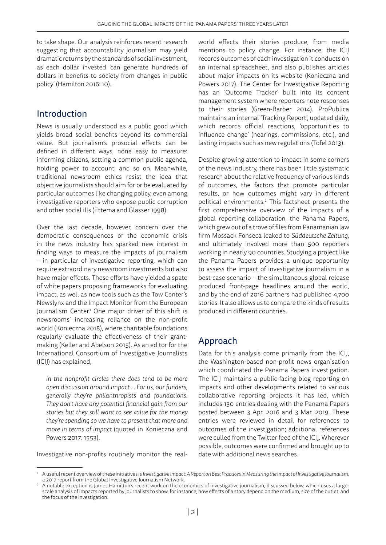to take shape. Our analysis reinforces recent research suggesting that accountability journalism may yield dramatic returns by the standards of social investment, as each dollar invested 'can generate hundreds of dollars in benefits to society from changes in public policy' (Hamilton 2016: 10).

## Introduction

News is usually understood as a public good which yields broad social benefits beyond its commercial value. But journalism's prosocial effects can be defined in different ways, none easy to measure: informing citizens, setting a common public agenda, holding power to account, and so on. Meanwhile, traditional newsroom ethics resist the idea that objective journalists should aim for or be evaluated by particular outcomes like changing policy, even among investigative reporters who expose public corruption and other social ills (Ettema and Glasser 1998).

Over the last decade, however, concern over the democratic consequences of the economic crisis in the news industry has sparked new interest in finding ways to measure the impacts of journalism – in particular of investigative reporting, which can require extraordinary newsroom investments but also have major effects. These efforts have yielded a spate of white papers proposing frameworks for evaluating impact, as well as new tools such as the Tow Center's Newslynx and the Impact Monitor from the European Journalism Center.1 One major driver of this shift is newsrooms' increasing reliance on the non-profit world (Konieczna 2018), where charitable foundations regularly evaluate the effectiveness of their grantmaking (Keller and Abelson 2015). As an editor for the International Consortium of Investigative Journalists (ICIJ) has explained,

*In the nonprofit circles there does tend to be more open discussion around impact ... For us, our funders, generally they're philanthropists and foundations. They don't have any potential financial gain from our stories but they still want to see value for the money they're spending so we have to present that more and more in terms of impact* (quoted in Konieczna and Powers 2017: 1553)*.*

Investigative non-profits routinely monitor the real-

world effects their stories produce, from media mentions to policy change. For instance, the ICIJ records outcomes of each investigation it conducts on an internal spreadsheet, and also publishes articles about major impacts on its website (Konieczna and Powers 2017). The Center for Investigative Reporting has an 'Outcome Tracker' built into its content management system where reporters note responses to their stories (Green-Barber 2014). ProPublica maintains an internal 'Tracking Report', updated daily, which records official reactions, 'opportunities to influence change' (hearings, commissions, etc.), and lasting impacts such as new regulations (Tofel 2013).

Despite growing attention to impact in some corners of the news industry, there has been little systematic research about the relative frequency of various kinds of outcomes, the factors that promote particular results, or how outcomes might vary in different political environments.<sup>2</sup> This factsheet presents the first comprehensive overview of the impacts of a global reporting collaboration, the Panama Papers, which grew out of a trove of files from Panamanian law firm Mossack Fonseca leaked to *Süddeutsche Zeitung*, and ultimately involved more than 500 reporters working in nearly 90 countries. Studying a project like the Panama Papers provides a unique opportunity to assess the impact of investigative journalism in a best-case scenario – the simultaneous global release produced front-page headlines around the world, and by the end of 2016 partners had published 4,700 stories. It also allows us to compare the kinds of results produced in different countries.

# Approach

Data for this analysis come primarily from the ICIJ, the Washington-based non-profit news organisation which coordinated the Panama Papers investigation. The ICIJ maintains a public-facing blog reporting on impacts and other developments related to various collaborative reporting projects it has led, which includes 130 entries dealing with the Panama Papers posted between 3 Apr. 2016 and 3 Mar. 2019. These entries were reviewed in detail for references to outcomes of the investigation; additional references were culled from the Twitter feed of the ICIJ. Wherever possible, outcomes were confirmed and brought up to date with additional news searches.

<sup>1</sup> A useful recent overview of these initiatives is *Investigative Impact: A Report on Best Practices in Measuring the Impact of Investigative Journalism*, a 2017 report from the Global Investigative Journalism Network.

<sup>2</sup> A notable exception is James Hamilton's recent work on the economics of investigative journalism, discussed below, which uses a largescale analysis of impacts reported by journalists to show, for instance, how effects of a story depend on the medium, size of the outlet, and the focus of the investigation.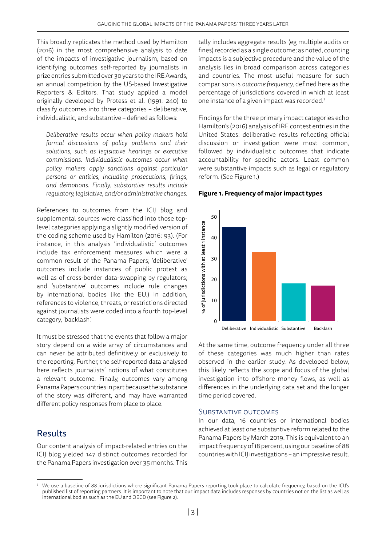This broadly replicates the method used by Hamilton (2016) in the most comprehensive analysis to date of the impacts of investigative journalism, based on identifying outcomes self-reported by journalists in prize entries submitted over 30 years to the IRE Awards, an annual competition by the US-based Investigative Reporters & Editors. That study applied a model originally developed by Protess et al. (1991: 240) to classify outcomes into three categories – deliberative, individualistic, and substantive – defined as follows:

*Deliberative results occur when policy makers hold formal discussions of policy problems and their solutions, such as legislative hearings or executive commissions. Individualistic outcomes occur when policy makers apply sanctions against particular persons or entities, including prosecutions, firings, and demotions. Finally, substantive results include regulatory, legislative, and/or administrative changes.*

References to outcomes from the ICIJ blog and supplemental sources were classified into those toplevel categories applying a slightly modified version of the coding scheme used by Hamilton (2016: 93). (For instance, in this analysis 'individualistic' outcomes include tax enforcement measures which were a common result of the Panama Papers; 'deliberative' outcomes include instances of public protest as well as of cross-border data-swapping by regulators; and 'substantive' outcomes include rule changes by international bodies like the EU.) In addition, references to violence, threats, or restrictions directed against journalists were coded into a fourth top-level category, 'backlash'.

It must be stressed that the events that follow a major story depend on a wide array of circumstances and can never be attributed definitively or exclusively to the reporting. Further, the self-reported data analysed here reflects journalists' notions of what constitutes a relevant outcome. Finally, outcomes vary among Panama Papers countries in part because the substance of the story was different, and may have warranted different policy responses from place to place.

# Results

Our content analysis of impact-related entries on the ICIJ blog yielded 147 distinct outcomes recorded for the Panama Papers investigation over 35 months. This

tally includes aggregate results (eg multiple audits or fines) recorded as a single outcome; as noted, counting impacts is a subjective procedure and the value of the analysis lies in broad comparison across categories and countries. The most useful measure for such comparisons is *outcome frequency*, defined here as the percentage of jurisdictions covered in which at least one instance of a given impact was recorded.3

Findings for the three primary impact categories echo Hamilton's (2016) analysis of IRE contest entries in the United States: deliberative results reflecting official discussion or investigation were most common, followed by individualistic outcomes that indicate accountability for specific actors. Least common were substantive impacts such as legal or regulatory reform. (See Figure 1.)

#### **Figure 1. Frequency of major impact types**



At the same time, outcome frequency under all three of these categories was much higher than rates observed in the earlier study. As developed below, this likely reflects the scope and focus of the global investigation into offshore money flows, as well as differences in the underlying data set and the longer time period covered.

#### SUBSTANTIVE OUTCOMES

In our data, 16 countries or international bodies achieved at least one substantive reform related to the Panama Papers by March 2019. This is equivalent to an impact frequency of 18 percent, using our baseline of 88 countries with ICIJ investigations – an impressive result.

<sup>3</sup> We use a baseline of 88 jurisdictions where significant Panama Papers reporting took place to calculate frequency, based on the ICIJ's published list of reporting partners. It is important to note that our impact data includes responses by countries not on the list as well as international bodies such as the EU and OECD (see Figure 2).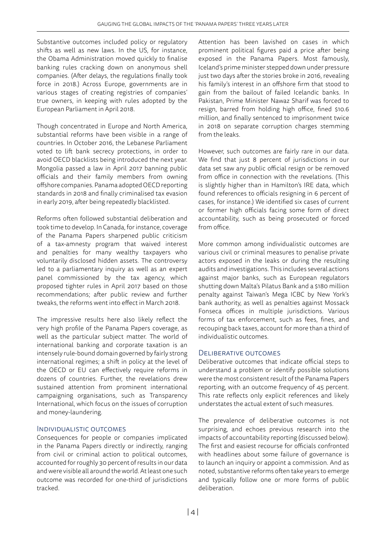Substantive outcomes included policy or regulatory shifts as well as new laws. In the US, for instance, the Obama Administration moved quickly to finalise banking rules cracking down on anonymous shell companies. (After delays, the regulations finally took force in 2018.) Across Europe, governments are in various stages of creating registries of companies' true owners, in keeping with rules adopted by the European Parliament in April 2018.

Though concentrated in Europe and North America, substantial reforms have been visible in a range of countries. In October 2016, the Lebanese Parliament voted to lift bank secrecy protections, in order to avoid OECD blacklists being introduced the next year. Mongolia passed a law in April 2017 banning public officials and their family members from owning offshore companies. Panama adopted OECD reporting standards in 2018 and finally criminalised tax evasion in early 2019, after being repeatedly blacklisted.

Reforms often followed substantial deliberation and took time to develop. In Canada, for instance, coverage of the Panama Papers sharpened public criticism of a tax-amnesty program that waived interest and penalties for many wealthy taxpayers who voluntarily disclosed hidden assets. The controversy led to a parliamentary inquiry as well as an expert panel commissioned by the tax agency, which proposed tighter rules in April 2017 based on those recommendations; after public review and further tweaks, the reforms went into effect in March 2018.

The impressive results here also likely reflect the very high profile of the Panama Papers coverage, as well as the particular subject matter. The world of international banking and corporate taxation is an intensely rule-bound domain governed by fairly strong international regimes; a shift in policy at the level of the OECD or EU can effectively require reforms in dozens of countries. Further, the revelations drew sustained attention from prominent international campaigning organisations, such as Transparency International, which focus on the issues of corruption and money-laundering.

## Individualistic outcomes

Consequences for people or companies implicated in the Panama Papers directly or indirectly, ranging from civil or criminal action to political outcomes, accounted for roughly 30 percent of results in our data and were visible all around the world. At least one such outcome was recorded for one-third of jurisdictions tracked.

Attention has been lavished on cases in which prominent political figures paid a price after being exposed in the Panama Papers. Most famously, Iceland's prime minister stepped down under pressure just two days after the stories broke in 2016, revealing his family's interest in an offshore firm that stood to gain from the bailout of failed Icelandic banks. In Pakistan, Prime Minister Nawaz Sharif was forced to resign, barred from holding high office, fined \$10.6 million, and finally sentenced to imprisonment twice in 2018 on separate corruption charges stemming from the leaks.

However, such outcomes are fairly rare in our data. We find that just 8 percent of jurisdictions in our data set saw any public official resign or be removed from office in connection with the revelations. (This is slightly higher than in Hamilton's IRE data, which found references to officials resigning in 6 percent of cases, for instance.) We identified six cases of current or former high officials facing some form of direct accountability, such as being prosecuted or forced from office.

More common among individualistic outcomes are various civil or criminal measures to penalise private actors exposed in the leaks or during the resulting audits and investigations. This includes several actions against major banks, such as European regulators shutting down Malta's Pilatus Bank and a \$180 million penalty against Taiwan's Mega ICBC by New York's bank authority, as well as penalties against Mossack Fonseca offices in multiple jurisdictions. Various forms of tax enforcement, such as fees, fines, and recouping back taxes, account for more than a third of individualistic outcomes.

## Deliberative outcomes

Deliberative outcomes that indicate official steps to understand a problem or identify possible solutions were the most consistent result of the Panama Papers reporting, with an outcome frequency of 45 percent. This rate reflects only explicit references and likely understates the actual extent of such measures.

The prevalence of deliberative outcomes is not surprising, and echoes previous research into the impacts of accountability reporting (discussed below). The first and easiest recourse for officials confronted with headlines about some failure of governance is to launch an inquiry or appoint a commission. And as noted, substantive reforms often take years to emerge and typically follow one or more forms of public deliberation.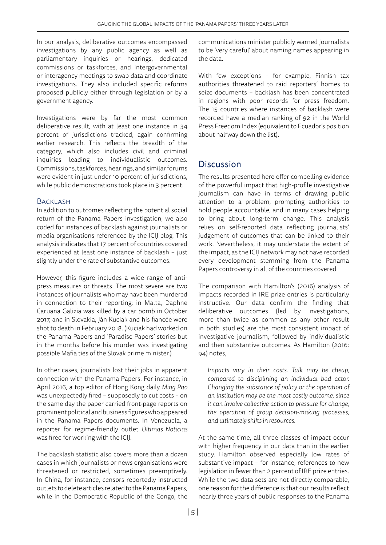In our analysis, deliberative outcomes encompassed investigations by any public agency as well as parliamentary inquiries or hearings, dedicated commissions or taskforces, and intergovernmental or interagency meetings to swap data and coordinate investigations. They also included specific reforms proposed publicly either through legislation or by a government agency.

Investigations were by far the most common deliberative result, with at least one instance in 34 percent of jurisdictions tracked, again confirming earlier research. This reflects the breadth of the category, which also includes civil and criminal inquiries leading to individualistic outcomes. Commissions, taskforces, hearings, and similar forums were evident in just under 10 percent of jurisdictions, while public demonstrations took place in 3 percent.

## BACKI ASH

In addition to outcomes reflecting the potential social return of the Panama Papers investigation, we also coded for instances of backlash against journalists or media organisations referenced by the ICIJ blog. This analysis indicates that 17 percent of countries covered experienced at least one instance of backlash – just slightly under the rate of substantive outcomes.

However, this figure includes a wide range of antipress measures or threats. The most severe are two instances of journalists who may have been murdered in connection to their reporting: in Malta, Daphne Caruana Galizia was killed by a car bomb in October 2017, and in Slovakia, Ján Kuciak and his fiancée were shot to death in February 2018. (Kuciak had worked on the Panama Papers and 'Paradise Papers' stories but in the months before his murder was investigating possible Mafia ties of the Slovak prime minister.)

In other cases, journalists lost their jobs in apparent connection with the Panama Papers. For instance, in April 2016, a top editor of Hong Kong daily *Ming Pao* was unexpectedly fired – supposedly to cut costs – on the same day the paper carried front-page reports on prominent political and business figures who appeared in the Panama Papers documents. In Venezuela, a reporter for regime-friendly outlet *Últimas Noticias*  was fired for working with the ICIJ.

The backlash statistic also covers more than a dozen cases in which journalists or news organisations were threatened or restricted, sometimes preemptively. In China, for instance, censors reportedly instructed outlets to delete articles related to the Panama Papers, while in the Democratic Republic of the Congo, the

communications minister publicly warned journalists to be 'very careful' about naming names appearing in the data.

With few exceptions – for example, Finnish tax authorities threatened to raid reporters' homes to seize documents – backlash has been concentrated in regions with poor records for press freedom. The 15 countries where instances of backlash were recorded have a median ranking of 92 in the World Press Freedom Index (equivalent to Ecuador's position about halfway down the list).

# **Discussion**

The results presented here offer compelling evidence of the powerful impact that high-profile investigative journalism can have in terms of drawing public attention to a problem, prompting authorities to hold people accountable, and in many cases helping to bring about long-term change. This analysis relies on self-reported data reflecting journalists' judgement of outcomes that can be linked to their work. Nevertheless, it may understate the extent of the impact, as the ICIJ network may not have recorded every development stemming from the Panama Papers controversy in all of the countries covered.

The comparison with Hamilton's (2016) analysis of impacts recorded in IRE prize entries is particularly instructive. Our data confirm the finding that deliberative outcomes (led by investigations, more than twice as common as any other result in both studies) are the most consistent impact of investigative journalism, followed by individualistic and then substantive outcomes. As Hamilton (2016: 94) notes,

*Impacts vary in their costs. Talk may be cheap, compared to disciplining an individual bad actor. Changing the substance of policy or the operation of an institution may be the most costly outcome, since it can involve collective action to pressure for change, the operation of group decision-making processes, and ultimately shifts in resources.*

At the same time, all three classes of impact occur with higher frequency in our data than in the earlier study. Hamilton observed especially low rates of substantive impact – for instance, references to new legislation in fewer than 2 percent of IRE prize entries. While the two data sets are not directly comparable, one reason for the difference is that our results reflect nearly three years of public responses to the Panama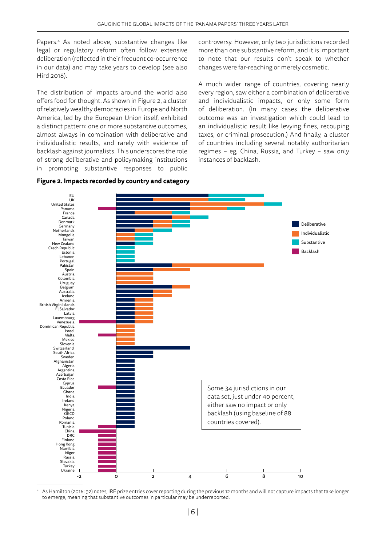Papers.<sup>4</sup> As noted above, substantive changes like legal or regulatory reform often follow extensive deliberation (reflected in their frequent co-occurrence in our data) and may take years to develop (see also Hird 2018).

The distribution of impacts around the world also offers food for thought. As shown in Figure 2, a cluster of relatively wealthy democracies in Europe and North America, led by the European Union itself, exhibited a distinct pattern: one or more substantive outcomes, almost always in combination with deliberative and individualistic results, and rarely with evidence of backlash against journalists. This underscores the role of strong deliberative and policymaking institutions in promoting substantive responses to public

controversy. However, only two jurisdictions recorded more than one substantive reform, and it is important to note that our results don't speak to whether changes were far-reaching or merely cosmetic.

A much wider range of countries, covering nearly every region, saw either a combination of deliberative and individualistic impacts, or only some form of deliberation. (In many cases the deliberative outcome was an investigation which could lead to an individualistic result like levying fines, recouping taxes, or criminal prosecution.) And finally, a cluster of countries including several notably authoritarian regimes – eg, China, Russia, and Turkey – saw only instances of backlash.



#### **Figure 2. Impacts recorded by country and category**

4 As Hamilton (2016: 92) notes, IRE prize entries cover reporting during the previous 12 months and will not capture impacts that take longer to emerge, meaning that substantive outcomes in particular may be underreported.